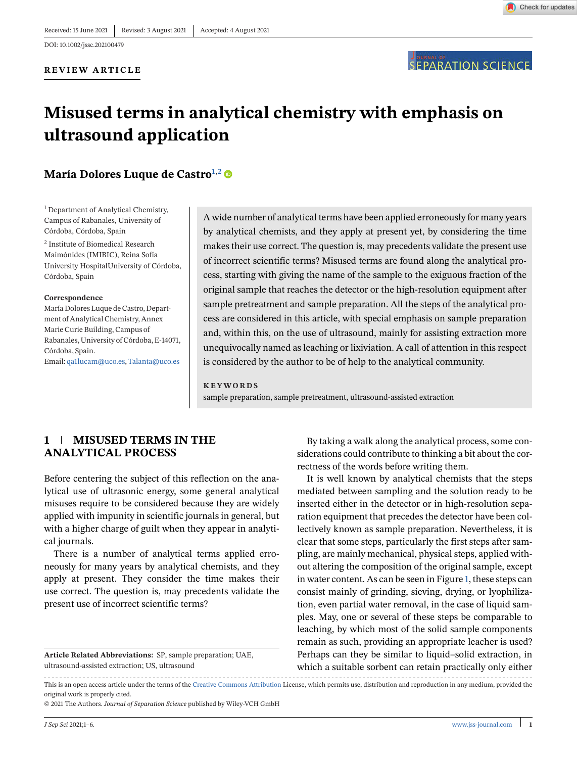

# **Misused terms in analytical chemistry with emphasis on ultrasound application**

# **María Dolores Luque de Castro<sup>1,2</sup> ®**

<sup>1</sup> Department of Analytical Chemistry, Campus of Rabanales, University of Córdoba, Córdoba, Spain

<sup>2</sup> Institute of Biomedical Research Maimónides (IMIBIC), Reina Sofía University HospitalUniversity of Córdoba, Córdoba, Spain

#### **Correspondence**

María Dolores Luque de Castro, Department of Analytical Chemistry, Annex Marie Curie Building, Campus of Rabanales, University of Córdoba, E-14071, Córdoba, Spain. Email: [qa1lucam@uco.es,](mailto:qa1lucam@uco.es)[Talanta@uco.es](mailto:Talanta@uco.es)

A wide number of analytical terms have been applied erroneously for many years by analytical chemists, and they apply at present yet, by considering the time makes their use correct. The question is, may precedents validate the present use of incorrect scientific terms? Misused terms are found along the analytical process, starting with giving the name of the sample to the exiguous fraction of the original sample that reaches the detector or the high-resolution equipment after sample pretreatment and sample preparation. All the steps of the analytical process are considered in this article, with special emphasis on sample preparation and, within this, on the use of ultrasound, mainly for assisting extraction more unequivocally named as leaching or lixiviation. A call of attention in this respect is considered by the author to be of help to the analytical community.

**KEYWORDS** sample preparation, sample pretreatment, ultrasound-assisted extraction

## **1 MISUSED TERMS IN THE ANALYTICAL PROCESS**

Before centering the subject of this reflection on the analytical use of ultrasonic energy, some general analytical misuses require to be considered because they are widely applied with impunity in scientific journals in general, but with a higher charge of guilt when they appear in analytical journals.

There is a number of analytical terms applied erroneously for many years by analytical chemists, and they apply at present. They consider the time makes their use correct. The question is, may precedents validate the present use of incorrect scientific terms?

**Article Related Abbreviations:** SP, sample preparation; UAE, ultrasound-assisted extraction; US, ultrasound

By taking a walk along the analytical process, some considerations could contribute to thinking a bit about the correctness of the words before writing them.

It is well known by analytical chemists that the steps mediated between sampling and the solution ready to be inserted either in the detector or in high-resolution separation equipment that precedes the detector have been collectively known as sample preparation. Nevertheless, it is clear that some steps, particularly the first steps after sampling, are mainly mechanical, physical steps, applied without altering the composition of the original sample, except in water content. As can be seen in Figure [1,](#page-1-0) these steps can consist mainly of grinding, sieving, drying, or lyophilization, even partial water removal, in the case of liquid samples. May, one or several of these steps be comparable to leaching, by which most of the solid sample components remain as such, providing an appropriate leacher is used? Perhaps can they be similar to liquid–solid extraction, in which a suitable sorbent can retain practically only either

This is an open access article under the terms of the [Creative Commons Attribution](http://creativecommons.org/licenses/by/4.0/) License, which permits use, distribution and reproduction in any medium, provided the original work is properly cited.

© 2021 The Authors. *Journal of Separation Science* published by Wiley-VCH GmbH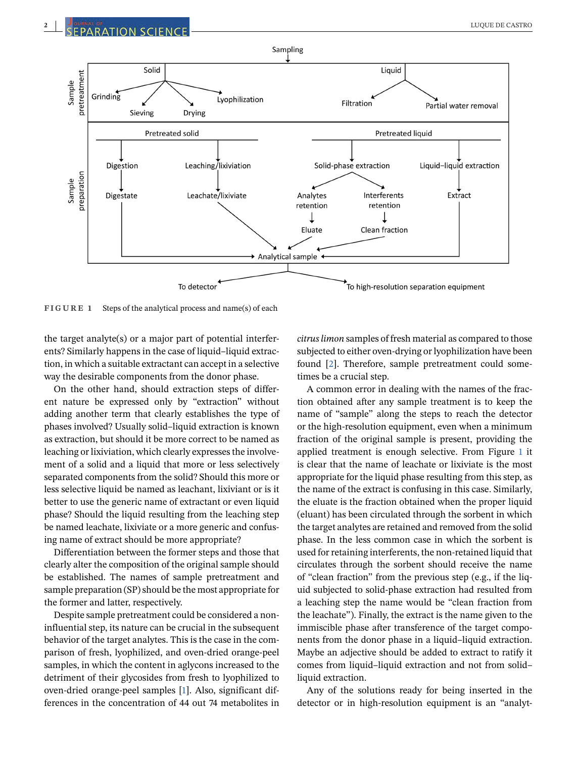<span id="page-1-0"></span>

**FIGURE 1** Steps of the analytical process and name(s) of each

the target analyte(s) or a major part of potential interferents? Similarly happens in the case of liquid–liquid extraction, in which a suitable extractant can accept in a selective way the desirable components from the donor phase.

On the other hand, should extraction steps of different nature be expressed only by "extraction" without adding another term that clearly establishes the type of phases involved? Usually solid–liquid extraction is known as extraction, but should it be more correct to be named as leaching or lixiviation, which clearly expresses the involvement of a solid and a liquid that more or less selectively separated components from the solid? Should this more or less selective liquid be named as leachant, lixiviant or is it better to use the generic name of extractant or even liquid phase? Should the liquid resulting from the leaching step be named leachate, lixiviate or a more generic and confusing name of extract should be more appropriate?

Differentiation between the former steps and those that clearly alter the composition of the original sample should be established. The names of sample pretreatment and sample preparation (SP) should be the most appropriate for the former and latter, respectively.

Despite sample pretreatment could be considered a noninfluential step, its nature can be crucial in the subsequent behavior of the target analytes. This is the case in the comparison of fresh, lyophilized, and oven-dried orange-peel samples, in which the content in aglycons increased to the detriment of their glycosides from fresh to lyophilized to oven-dried orange-peel samples [\[1\]](#page-4-0). Also, significant differences in the concentration of 44 out 74 metabolites in

*citrus limon* samples of fresh material as compared to those subjected to either oven-drying or lyophilization have been found [\[2\]](#page-4-0). Therefore, sample pretreatment could sometimes be a crucial step.

A common error in dealing with the names of the fraction obtained after any sample treatment is to keep the name of "sample" along the steps to reach the detector or the high-resolution equipment, even when a minimum fraction of the original sample is present, providing the applied treatment is enough selective. From Figure 1 it is clear that the name of leachate or lixiviate is the most appropriate for the liquid phase resulting from this step, as the name of the extract is confusing in this case. Similarly, the eluate is the fraction obtained when the proper liquid (eluant) has been circulated through the sorbent in which the target analytes are retained and removed from the solid phase. In the less common case in which the sorbent is used for retaining interferents, the non-retained liquid that circulates through the sorbent should receive the name of "clean fraction" from the previous step (e.g., if the liquid subjected to solid-phase extraction had resulted from a leaching step the name would be "clean fraction from the leachate"). Finally, the extract is the name given to the immiscible phase after transference of the target components from the donor phase in a liquid–liquid extraction. Maybe an adjective should be added to extract to ratify it comes from liquid–liquid extraction and not from solid– liquid extraction.

Any of the solutions ready for being inserted in the detector or in high-resolution equipment is an "analyt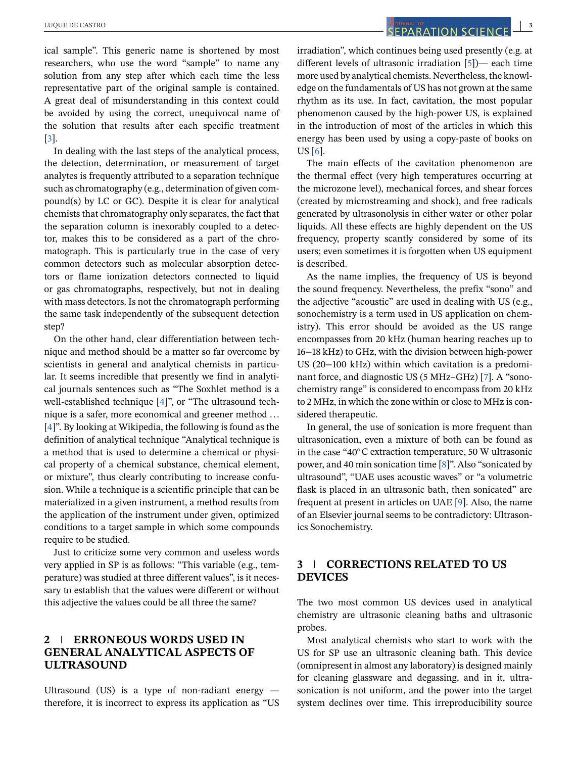ical sample". This generic name is shortened by most researchers, who use the word "sample" to name any solution from any step after which each time the less representative part of the original sample is contained. A great deal of misunderstanding in this context could be avoided by using the correct, unequivocal name of the solution that results after each specific treatment [\[3\]](#page-4-0).

In dealing with the last steps of the analytical process, the detection, determination, or measurement of target analytes is frequently attributed to a separation technique such as chromatography (e.g., determination of given compound(s) by LC or GC). Despite it is clear for analytical chemists that chromatography only separates, the fact that the separation column is inexorably coupled to a detector, makes this to be considered as a part of the chromatograph. This is particularly true in the case of very common detectors such as molecular absorption detectors or flame ionization detectors connected to liquid or gas chromatographs, respectively, but not in dealing with mass detectors. Is not the chromatograph performing the same task independently of the subsequent detection step?

On the other hand, clear differentiation between technique and method should be a matter so far overcome by scientists in general and analytical chemists in particular. It seems incredible that presently we find in analytical journals sentences such as "The Soxhlet method is a well-established technique [\[4\]](#page-4-0)", or "The ultrasound technique is a safer, more economical and greener method ... [\[4\]](#page-4-0)". By looking at Wikipedia, the following is found as the definition of analytical technique "Analytical technique is a method that is used to determine a chemical or physical property of a chemical substance, chemical element, or mixture", thus clearly contributing to increase confusion. While a technique is a scientific principle that can be materialized in a given instrument, a method results from the application of the instrument under given, optimized conditions to a target sample in which some compounds require to be studied.

Just to criticize some very common and useless words very applied in SP is as follows: "This variable (e.g., temperature) was studied at three different values", is it necessary to establish that the values were different or without this adjective the values could be all three the same?

# **2 ERRONEOUS WORDS USED IN GENERAL ANALYTICAL ASPECTS OF ULTRASOUND**

Ultrasound (US) is a type of non-radiant energy  $$ therefore, it is incorrect to express its application as "US

irradiation", which continues being used presently (e.g. at different levels of ultrasonic irradiation [\[5\]](#page-4-0))— each time more used by analytical chemists. Nevertheless, the knowledge on the fundamentals of US has not grown at the same rhythm as its use. In fact, cavitation, the most popular phenomenon caused by the high-power US, is explained in the introduction of most of the articles in which this energy has been used by using a copy-paste of books on US [\[6\]](#page-4-0).

The main effects of the cavitation phenomenon are the thermal effect (very high temperatures occurring at the microzone level), mechanical forces, and shear forces (created by microstreaming and shock), and free radicals generated by ultrasonolysis in either water or other polar liquids. All these effects are highly dependent on the US frequency, property scantly considered by some of its users; even sometimes it is forgotten when US equipment is described.

As the name implies, the frequency of US is beyond the sound frequency. Nevertheless, the prefix "sono" and the adjective "acoustic" are used in dealing with US (e.g., sonochemistry is a term used in US application on chemistry). This error should be avoided as the US range encompasses from 20 kHz (human hearing reaches up to 16−18 kHz) to GHz, with the division between high-power US (20−100 kHz) within which cavitation is a predominant force, and diagnostic US (5 MHz–GHz) [\[7\]](#page-4-0). A "sonochemistry range" is considered to encompass from 20 kHz to 2 MHz, in which the zone within or close to MHz is considered therapeutic.

In general, the use of sonication is more frequent than ultrasonication, even a mixture of both can be found as in the case "40◦C extraction temperature, 50 W ultrasonic power, and 40 min sonication time [\[8\]](#page-4-0)". Also "sonicated by ultrasound", "UAE uses acoustic waves" or "a volumetric flask is placed in an ultrasonic bath, then sonicated" are frequent at present in articles on UAE [\[9\]](#page-4-0). Also, the name of an Elsevier journal seems to be contradictory: Ultrasonics Sonochemistry.

# **3 CORRECTIONS RELATED TO US DEVICES**

The two most common US devices used in analytical chemistry are ultrasonic cleaning baths and ultrasonic probes.

Most analytical chemists who start to work with the US for SP use an ultrasonic cleaning bath. This device (omnipresent in almost any laboratory) is designed mainly for cleaning glassware and degassing, and in it, ultrasonication is not uniform, and the power into the target system declines over time. This irreproducibility source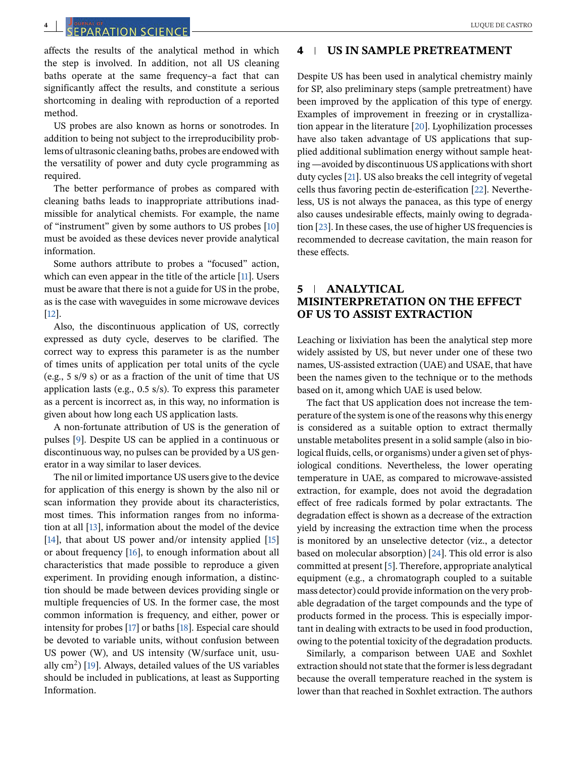# ef and the contract of the contract of the contract of the contract of the contract of the contract of the contract of the contract of the contract of the contract of the contract of the contract of the contract of the con

affects the results of the analytical method in which the step is involved. In addition, not all US cleaning baths operate at the same frequency–a fact that can significantly affect the results, and constitute a serious shortcoming in dealing with reproduction of a reported method.

US probes are also known as horns or sonotrodes. In addition to being not subject to the irreproducibility problems of ultrasonic cleaning baths, probes are endowed with the versatility of power and duty cycle programming as required.

The better performance of probes as compared with cleaning baths leads to inappropriate attributions inadmissible for analytical chemists. For example, the name of "instrument" given by some authors to US probes [\[10\]](#page-4-0) must be avoided as these devices never provide analytical information.

Some authors attribute to probes a "focused" action, which can even appear in the title of the article [\[11\]](#page-4-0). Users must be aware that there is not a guide for US in the probe, as is the case with waveguides in some microwave devices [\[12\]](#page-5-0).

Also, the discontinuous application of US, correctly expressed as duty cycle, deserves to be clarified. The correct way to express this parameter is as the number of times units of application per total units of the cycle (e.g., 5 s/9 s) or as a fraction of the unit of time that US application lasts (e.g., 0.5 s/s). To express this parameter as a percent is incorrect as, in this way, no information is given about how long each US application lasts.

A non-fortunate attribution of US is the generation of pulses [\[9\]](#page-4-0). Despite US can be applied in a continuous or discontinuous way, no pulses can be provided by a US generator in a way similar to laser devices.

The nil or limited importance US users give to the device for application of this energy is shown by the also nil or scan information they provide about its characteristics, most times. This information ranges from no information at all [\[13\]](#page-5-0), information about the model of the device [\[14\]](#page-5-0), that about US power and/or intensity applied [\[15\]](#page-5-0) or about frequency [\[16\]](#page-5-0), to enough information about all characteristics that made possible to reproduce a given experiment. In providing enough information, a distinction should be made between devices providing single or multiple frequencies of US. In the former case, the most common information is frequency, and either, power or intensity for probes [\[17\]](#page-5-0) or baths [\[18\]](#page-5-0). Especial care should be devoted to variable units, without confusion between US power (W), and US intensity (W/surface unit, usually  $\text{cm}^2$ ) [\[19\]](#page-5-0). Always, detailed values of the US variables should be included in publications, at least as Supporting Information.

#### **4 US IN SAMPLE PRETREATMENT**

Despite US has been used in analytical chemistry mainly for SP, also preliminary steps (sample pretreatment) have been improved by the application of this type of energy. Examples of improvement in freezing or in crystallization appear in the literature [\[20\]](#page-5-0). Lyophilization processes have also taken advantage of US applications that supplied additional sublimation energy without sample heating —avoided by discontinuous US applications with short duty cycles [\[21\]](#page-5-0). US also breaks the cell integrity of vegetal cells thus favoring pectin de-esterification [\[22\]](#page-5-0). Nevertheless, US is not always the panacea, as this type of energy also causes undesirable effects, mainly owing to degradation [\[23\]](#page-5-0). In these cases, the use of higher US frequencies is recommended to decrease cavitation, the main reason for these effects.

## **5 ANALYTICAL MISINTERPRETATION ON THE EFFECT OF US TO ASSIST EXTRACTION**

Leaching or lixiviation has been the analytical step more widely assisted by US, but never under one of these two names, US-assisted extraction (UAE) and USAE, that have been the names given to the technique or to the methods based on it, among which UAE is used below.

The fact that US application does not increase the temperature of the system is one of the reasons why this energy is considered as a suitable option to extract thermally unstable metabolites present in a solid sample (also in biological fluids, cells, or organisms) under a given set of physiological conditions. Nevertheless, the lower operating temperature in UAE, as compared to microwave-assisted extraction, for example, does not avoid the degradation effect of free radicals formed by polar extractants. The degradation effect is shown as a decrease of the extraction yield by increasing the extraction time when the process is monitored by an unselective detector (viz., a detector based on molecular absorption) [\[24\]](#page-5-0). This old error is also committed at present [\[5\]](#page-4-0). Therefore, appropriate analytical equipment (e.g., a chromatograph coupled to a suitable mass detector) could provide information on the very probable degradation of the target compounds and the type of products formed in the process. This is especially important in dealing with extracts to be used in food production, owing to the potential toxicity of the degradation products.

Similarly, a comparison between UAE and Soxhlet extraction should not state that the former is less degradant because the overall temperature reached in the system is lower than that reached in Soxhlet extraction. The authors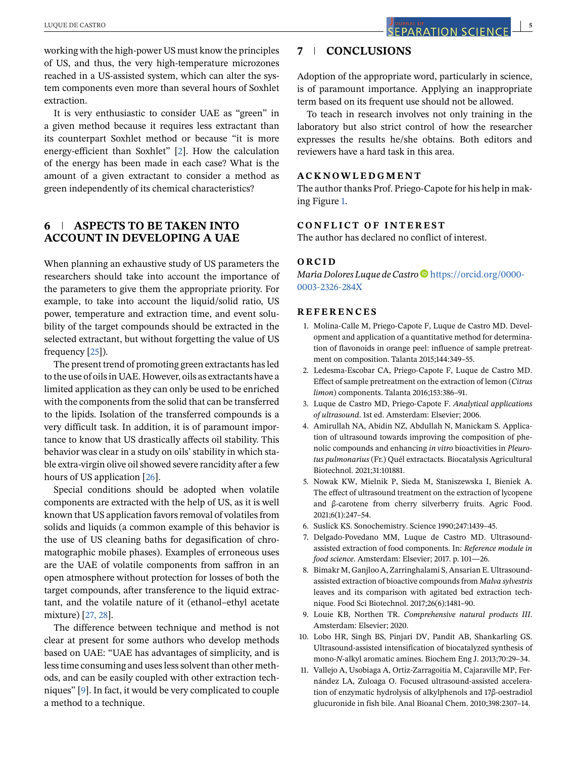<span id="page-4-0"></span>working with the high-power US must know the principles of US, and thus, the very high-temperature microzones reached in a US-assisted system, which can alter the system components even more than several hours of Soxhlet extraction.

It is very enthusiastic to consider UAE as "green" in a given method because it requires less extractant than its counterpart Soxhlet method or because "it is more energy-efficient than Soxhlet" [2]. How the calculation of the energy has been made in each case? What is the amount of a given extractant to consider a method as green independently of its chemical characteristics?

#### **6 ASPECTS TO BE TAKEN INTO ACCOUNT IN DEVELOPING A UAE**

When planning an exhaustive study of US parameters the researchers should take into account the importance of the parameters to give them the appropriate priority. For example, to take into account the liquid/solid ratio, US power, temperature and extraction time, and event solubility of the target compounds should be extracted in the selected extractant, but without forgetting the value of US frequency [\[25\]](#page-5-0)).

The present trend of promoting green extractants has led to the use of oils in UAE. However, oils as extractants have a limited application as they can only be used to be enriched with the components from the solid that can be transferred to the lipids. Isolation of the transferred compounds is a very difficult task. In addition, it is of paramount importance to know that US drastically affects oil stability. This behavior was clear in a study on oils' stability in which stable extra-virgin olive oil showed severe rancidity after a few hours of US application [\[26\]](#page-5-0).

Special conditions should be adopted when volatile components are extracted with the help of US, as it is well known that US application favors removal of volatiles from solids and liquids (a common example of this behavior is the use of US cleaning baths for degasification of chromatographic mobile phases). Examples of erroneous uses are the UAE of volatile components from saffron in an open atmosphere without protection for losses of both the target compounds, after transference to the liquid extractant, and the volatile nature of it (ethanol–ethyl acetate mixture) [\[27, 28\]](#page-5-0).

The difference between technique and method is not clear at present for some authors who develop methods based on UAE: "UAE has advantages of simplicity, and is less time consuming and uses less solvent than other methods, and can be easily coupled with other extraction techniques" [9]. In fact, it would be very complicated to couple a method to a technique.

# **7 CONCLUSIONS**

Adoption of the appropriate word, particularly in science, is of paramount importance. Applying an inappropriate term based on its frequent use should not be allowed.

To teach in research involves not only training in the laboratory but also strict control of how the researcher expresses the results he/she obtains. Both editors and reviewers have a hard task in this area.

#### **ACKNOWLEDGMENT**

The author thanks Prof. Priego-Capote for his help in making Figure [1.](#page-1-0)

#### **CONFLICT OF INTEREST**

The author has declared no conflict of interest.

#### **ORCID**

*María Dolores Luque de Castro* **b** [https://orcid.org/0000-](https://orcid.org/0000-0003-2326-284X) [0003-2326-284X](https://orcid.org/0000-0003-2326-284X)

#### **REFERENCES**

- 1. Molina-Calle M, Priego-Capote F, Luque de Castro MD. Development and application of a quantitative method for determination of flavonoids in orange peel: influence of sample pretreatment on composition. Talanta 2015;144:349–55.
- 2. Ledesma-Escobar CA, Priego-Capote F, Luque de Castro MD. Effect of sample pretreatment on the extraction of lemon (*Citrus limon*) components. Talanta 2016;153:386–91.
- 3. Luque de Castro MD, Priego-Capote F. *Analytical applications of ultrasound*. 1st ed. Amsterdam: Elsevier; 2006.
- 4. Amirullah NA, Abidin NZ, Abdullah N, Manickam S. Application of ultrasound towards improving the composition of phenolic compounds and enhancing *in vitro* bioactivities in *Pleurotus pulmonarius* (Fr.) Quél extractacts. Biocatalysis Agricultural Biotechnol. 2021;31:101881.
- 5. Nowak KW, Mielnik P, Sieda M, Staniszewska I, Bieniek A. The effect of ultrasound treatment on the extraction of lycopene and β-carotene from cherry silverberry fruits. Agric Food. 2021;6(1):247–54.
- 6. Suslick KS. Sonochemistry. Science 1990;247:1439–45.
- 7. Delgado-Povedano MM, Luque de Castro MD. Ultrasoundassisted extraction of food components. In: *Reference module in food science*. Amsterdam: Elsevier; 2017. p. 101—26.
- 8. Bimakr M, Ganjloo A, Zarringhalami S, Ansarian E. Ultrasoundassisted extraction of bioactive compounds from *Malva sylvestris* leaves and its comparison with agitated bed extraction technique. Food Sci Biotechnol. 2017;26(6):1481–90.
- 9. Louie KB, Northen TR. *Comprehensive natural products III*. Amsterdam: Elsevier; 2020.
- 10. Lobo HR, Singh BS, Pinjari DV, Pandit AB, Shankarling GS. Ultrasound-assisted intensification of biocatalyzed synthesis of mono-*N*-alkyl aromatic amines. Biochem Eng J. 2013;70:29–34.
- 11. Vallejo A, Usobiaga A, Ortiz-Zarragoitia M, Cajaraville MP, Fernández LA, Zuloaga O. Focused ultrasound-assisted acceleration of enzymatic hydrolysis of alkylphenols and 17β-oestradiol glucuronide in fish bile. Anal Bioanal Chem. 2010;398:2307–14.